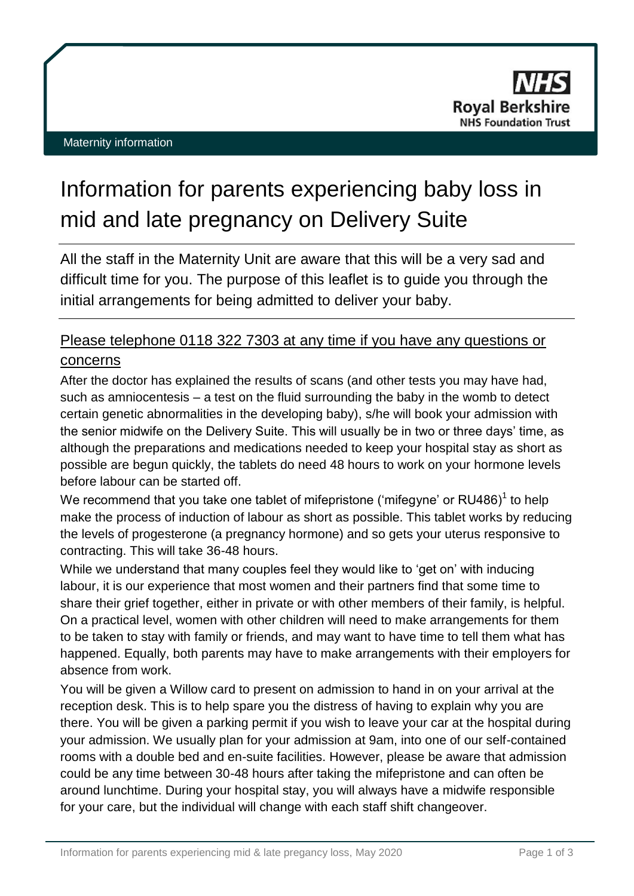# Information for parents experiencing baby loss in mid and late pregnancy on Delivery Suite

All the staff in the Maternity Unit are aware that this will be a very sad and difficult time for you. The purpose of this leaflet is to guide you through the initial arrangements for being admitted to deliver your baby.

# Please telephone 0118 322 7303 at any time if you have any questions or concerns

After the doctor has explained the results of scans (and other tests you may have had, such as amniocentesis – a test on the fluid surrounding the baby in the womb to detect certain genetic abnormalities in the developing baby), s/he will book your admission with the senior midwife on the Delivery Suite. This will usually be in two or three days' time, as although the preparations and medications needed to keep your hospital stay as short as possible are begun quickly, the tablets do need 48 hours to work on your hormone levels before labour can be started off.

We recommend that you take one tablet of mifepristone ('mifegyne' or RU486)<sup>1</sup> to help make the process of induction of labour as short as possible. This tablet works by reducing the levels of progesterone (a pregnancy hormone) and so gets your uterus responsive to contracting. This will take 36-48 hours.

While we understand that many couples feel they would like to 'get on' with inducing labour, it is our experience that most women and their partners find that some time to share their grief together, either in private or with other members of their family, is helpful. On a practical level, women with other children will need to make arrangements for them to be taken to stay with family or friends, and may want to have time to tell them what has happened. Equally, both parents may have to make arrangements with their employers for absence from work.

You will be given a Willow card to present on admission to hand in on your arrival at the reception desk. This is to help spare you the distress of having to explain why you are there. You will be given a parking permit if you wish to leave your car at the hospital during your admission. We usually plan for your admission at 9am, into one of our self-contained rooms with a double bed and en-suite facilities. However, please be aware that admission could be any time between 30-48 hours after taking the mifepristone and can often be around lunchtime. During your hospital stay, you will always have a midwife responsible for your care, but the individual will change with each staff shift changeover.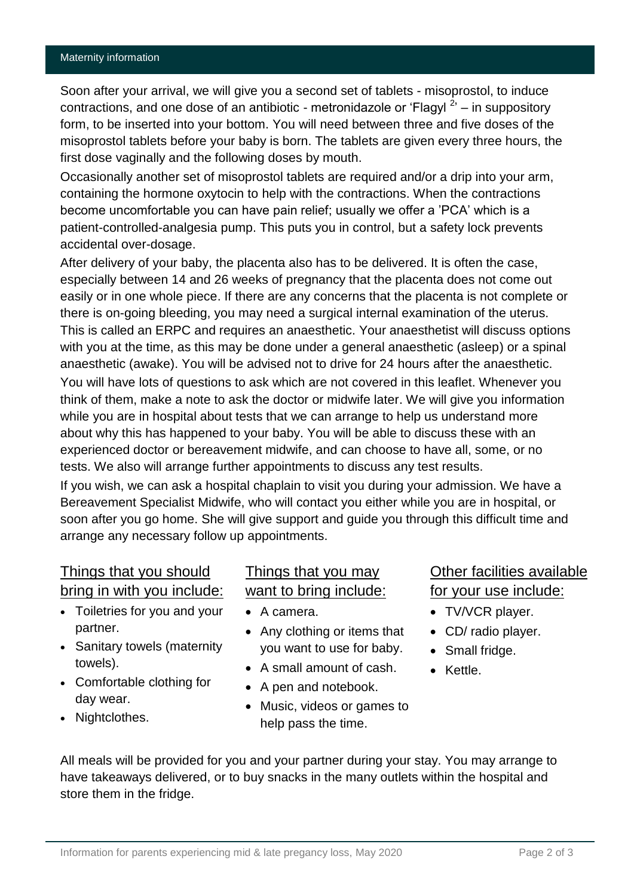Soon after your arrival, we will give you a second set of tablets - misoprostol, to induce contractions, and one dose of an antibiotic - metronidazole or 'Flagyl  $2$ ' – in suppository form, to be inserted into your bottom. You will need between three and five doses of the misoprostol tablets before your baby is born. The tablets are given every three hours, the first dose vaginally and the following doses by mouth.

Occasionally another set of misoprostol tablets are required and/or a drip into your arm, containing the hormone oxytocin to help with the contractions. When the contractions become uncomfortable you can have pain relief; usually we offer a 'PCA' which is a patient-controlled-analgesia pump. This puts you in control, but a safety lock prevents accidental over-dosage.

After delivery of your baby, the placenta also has to be delivered. It is often the case, especially between 14 and 26 weeks of pregnancy that the placenta does not come out easily or in one whole piece. If there are any concerns that the placenta is not complete or there is on-going bleeding, you may need a surgical internal examination of the uterus. This is called an ERPC and requires an anaesthetic. Your anaesthetist will discuss options with you at the time, as this may be done under a general anaesthetic (asleep) or a spinal anaesthetic (awake). You will be advised not to drive for 24 hours after the anaesthetic. You will have lots of questions to ask which are not covered in this leaflet. Whenever you think of them, make a note to ask the doctor or midwife later. We will give you information while you are in hospital about tests that we can arrange to help us understand more about why this has happened to your baby. You will be able to discuss these with an experienced doctor or bereavement midwife, and can choose to have all, some, or no tests. We also will arrange further appointments to discuss any test results.

If you wish, we can ask a hospital chaplain to visit you during your admission. We have a Bereavement Specialist Midwife, who will contact you either while you are in hospital, or soon after you go home. She will give support and guide you through this difficult time and arrange any necessary follow up appointments.

#### Things that you should bring in with you include:

- Toiletries for you and your partner.
- Sanitary towels (maternity towels).
- Comfortable clothing for day wear.
- Nightclothes.

### Things that you may want to bring include:

- A camera.
- Any clothing or items that you want to use for baby.
- A small amount of cash.
- A pen and notebook.
- Music, videos or games to help pass the time.

## Other facilities available for your use include:

- TV/VCR player.
- CD/ radio player.
- Small fridge.
- Kettle.

All meals will be provided for you and your partner during your stay. You may arrange to have takeaways delivered, or to buy snacks in the many outlets within the hospital and store them in the fridge.